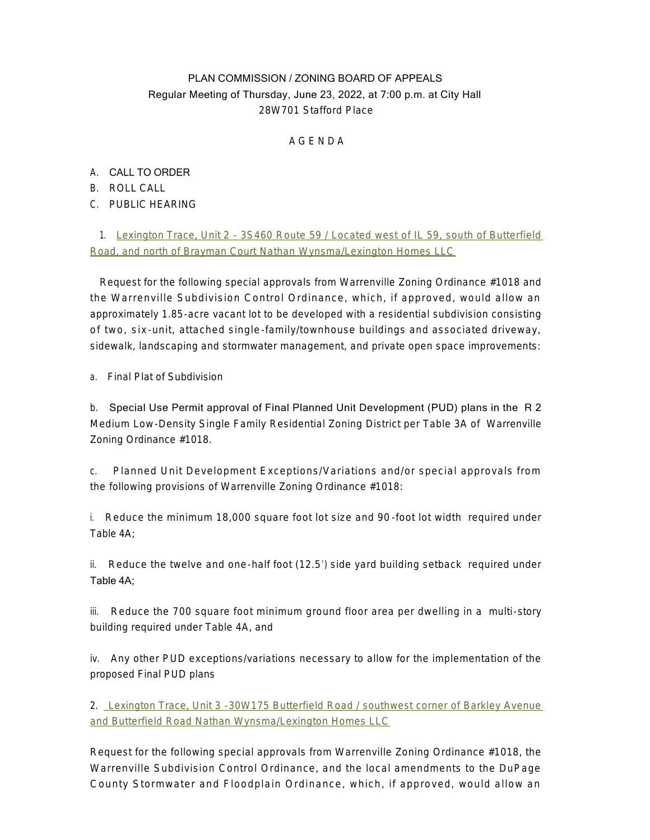## PLAN COMMISSION / ZONING BOARD OF APPEALS Regular Meeting of Thursday, June 23, 2022, at 7:00 p.m. at City Hall 28W701 Stafford Place

A G E N D A

## A. CALL TO ORDER

- B. ROLL CALL
- C. PUBLIC HEARING

1. [Lexington Trace, Unit 2 - 3S460 Route 59 / Located west of IL 59, south of Butterfield](https://www.warrenville.il.us/DocumentCenter/View/19283/Lexington-Trace-Unit-2-Staff-Report-and-Exhibits-for-6-23-2022-Meeting)  Road, and north of Brayman Court [Nathan Wynsma/Lexington Homes LLC](https://www.warrenville.il.us/DocumentCenter/View/19283/Lexington-Trace-Unit-2-Staff-Report-and-Exhibits-for-6-23-2022-Meeting)

Request for the following special approvals from Warrenville Zoning Ordinance #1018 and the Warrenville Subdivision Control Ordinance, which, if approved, would allow an approximately 1.85-acre vacant lot to be developed with a residential subdivision consisting of two, six -unit, attached single -family/townhouse buildings and associated driveway, sidewalk, landscaping and stormwater management, and private open space improvements:

a. Final Plat of Subdivision

b. Special Use Permit approval of Final Planned Unit Development (PUD) plans in the R 2 Medium Low-Density Single Family Residential Zoning District per Table 3A of Warrenville Zoning Ordinance #1018.

c. Planned Unit Development Exceptions/Variations and/or special approvals from the following provisions of Warrenville Zoning Ordinance #1018:

i. Reduce the minimum 18,000 square foot lot size and 90 -foot lot width required under Table 4A;

ii. Reduce the twelve and one-half foot (12.5') side yard building setback required under Table 4A;

iii. Reduce the 700 square foot minimum ground floor area per dwelling in a multi-story building required under Table 4A, and

iv. Any other PUD exceptions/variations necessary to allow for the implementation of the proposed Final PUD plans

2. [Lexington Trace, Unit 3 -30W175 Butterfield Road / southwest corner of Barkley Avenue](https://www.warrenville.il.us/DocumentCenter/View/19282/Lexington-Trace-Unit-3-Staff-Report-and-Exhibits-for-6-23-2022-Meeting)  and Butterfield Road Nathan Wynsma/Lexington Homes LLC

Request for the following special approvals from Warrenville Zoning Ordinance #1018, the Warrenville Subdivision Control Ordinance, and the local amendments to the DuPage County Stormwater and Floodplain Ordinance, which, if approved, would allow an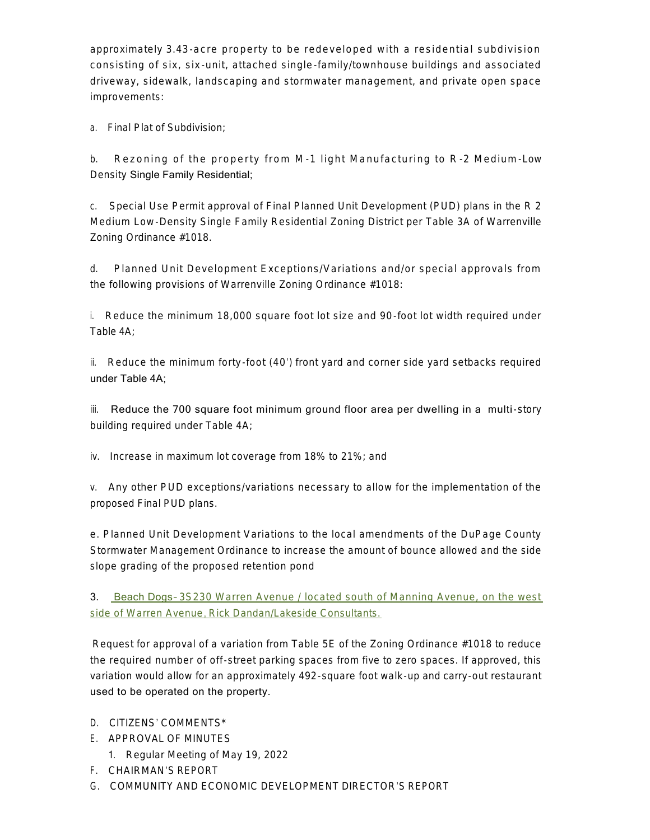approximately 3.43-acre property to be redeveloped with a residential subdivision consisting of six, six -unit, attached single -family/townhouse buildings and associated driveway, sidewalk, landscaping and stormwater management, and private open space improvements:

a. Final Plat of Subdivision;

b. Rezoning of the property from M -1 light Manufacturing to R -2 Medium -Low Density Single Family Residential;

c. Special Use Permit approval of Final Planned Unit Development (PUD) plans in the R 2 Medium Low-Density Single Family Residential Zoning District per Table 3A of Warrenville Zoning Ordinance #1018.

d. Planned Unit Development Exceptions/Variations and/or special approvals from the following provisions of Warrenville Zoning Ordinance #1018:

i. Reduce the minimum 18,000 square foot lot size and 90-foot lot width required under Table 4A;

ii. Reduce the minimum forty -foot (40') front yard and corner side yard setbacks required under Table 4A;

iii. Reduce the 700 square foot minimum ground floor area per dwelling in a multi-story building required under Table 4A;

iv. Increase in maximum lot coverage from 18% to 21%; and

v. Any other PUD exceptions/variations necessary to allow for the implementation of the proposed Final PUD plans.

e. Planned Unit Development Variations to the local amendments of the DuPage County Stormwater Management Ordinance to increase the amount of bounce allowed and the side slope grading of the proposed retention pond

3. Beach Dogs– [3S230 Warren Avenue / located south of Manning Avenue, on the west](https://www.warrenville.il.us/DocumentCenter/View/19284/Rick-Dandan---Lakeside-Consultants---3S230-Warren-SR_6-23-22-Meeting)  side of Warren Avenue[,](https://www.warrenville.il.us/DocumentCenter/View/19284/Rick-Dandan---Lakeside-Consultants---3S230-Warren-SR_6-23-22-Meeting) [Rick Dandan/Lakeside Consultants.](https://www.warrenville.il.us/DocumentCenter/View/19284/Rick-Dandan---Lakeside-Consultants---3S230-Warren-SR_6-23-22-Meeting)

Request for approval of a variation from Table 5E of the Zoning Ordinance #1018 to reduce the required number of off-street parking spaces from five to zero spaces. If approved, this variation would allow for an approximately 492-square foot walk-up and carry-out restaurant used to be operated on the property.

## D. CITIZENS' COMMENTS\*

- E. APPROVAL OF MINUTES
	- 1. Regular Meeting of May 19, 2022
- F. CHAIRMAN'S REPORT
- G. COMMUNITY AND ECONOMIC DEVELOPMENT DIRECTOR'S REPORT